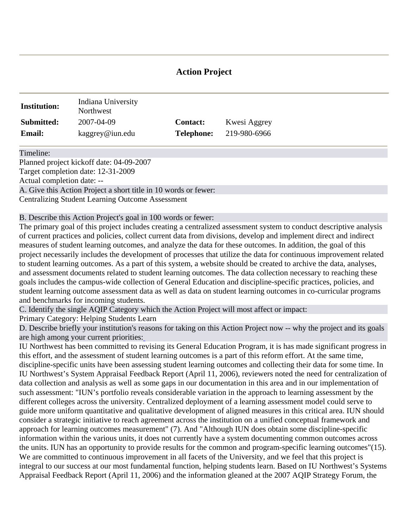# **Action Project**

| <b>Institution:</b> | Indiana University<br>Northwest |                   |              |
|---------------------|---------------------------------|-------------------|--------------|
| Submitted:          | 2007-04-09                      | <b>Contact:</b>   | Kwesi Aggrey |
| <b>Email:</b>       | kaggrey@iun.edu                 | <b>Telephone:</b> | 219-980-6966 |

Timeline:

Planned project kickoff date: 04-09-2007 Target completion date: 12-31-2009 Actual completion date: -- A. Give this Action Project a short title in 10 words or fewer: Centralizing Student Learning Outcome Assessment

B. Describe this Action Project's goal in 100 words or fewer:

The primary goal of this project includes creating a centralized assessment system to conduct descriptive analysis of current practices and policies, colle[ct current](http://www.aqip.org/actionproject/Help.php?helptext=1) data from divisions, develop and implement direct and indirect measures of student learning outcomes, and analyze the data for these outcomes. In addition, the goal of this project necessarily includes the development of processes that utilize the data for continuous improvement related to student learning outcomes. As a part of this system, a website should be created to archive the data, analyses, and assessment documents related to student learning outcomes. The data collection necessary to reaching these goals includes the campus-wide collection of General Education and discipline-specific practices, policies, and student learning outcome assessment data as well as data on student learning outcomes in co-curricular programs and benchmarks for incoming students.

C. Identify the single AQIP Category which the Action Project will most affect or impact:

Primary Category: Helping Students Learn

D. Describe briefly your institution's reasons for taking on this Action Project now -- why the project and its goals are high among your current priorities[:](http://www.aqip.org/actionproject/Help.php?helptext=1)

IU Northwest has been committed to revising its General Education Program, it is has made significant progress in this effort, and the assessment of student learning outcomes is a part of this reform effort. At the same time, discipline-specific units have been assessing student learning outcomes and collecting their data for some time. In IU Northwest's System Appraisal Feedback Report (April 11, 2006), reviewers noted the need for centralization of data collection and analysis as well as some gaps in our documentation in this area and in our implementation of such assessment: "IUN's portfolio reveals considerable variation in the approach to learning assessment by the different colleges across the university. Centralized deployment of a learning assessment model could serve to guide more uniform quantitative and qualitative development of aligned measures in this critical area. IUN should consider a strategic initiative to reach agreement across the institution on a unified conceptual framework and approach for learning outcomes measurement" (7). And "Although IUN does obtain some discipline-specific information within the various units, it does not currently have a system documenting common outcomes across the units. IUN has an opportunity to provide results for the common and program-specific learning outcomes"(15). We are committed to continuous improvement in all facets of the University, and we feel that this project is integral to our success at our most fundamental function, helping students learn. Based on IU Northwest's Systems Appraisal Feedback Report (April 11, 2006) and the information gleaned at the 2007 AQIP Strategy Forum, the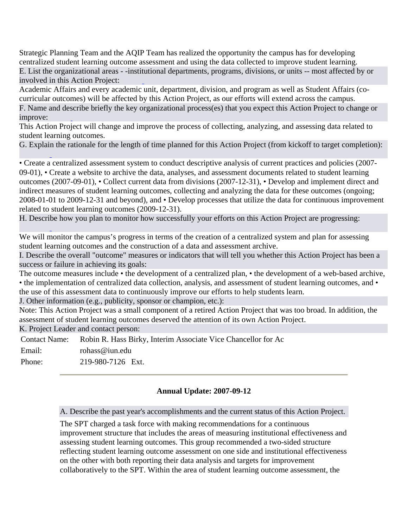Strategic Planning Team and the AQIP Team has realized the opportunity the campus has for developing centralized student learning outcome assessment and using the data collected to improve student learning. E. List t[he organi](http://www.aqip.org/actionproject/Help.php?helptext=3)zational areas - -insti[tu](http://www.aqip.org/actionproject/Help.php?helptext=2)tional departments, programs, divisions, or units -- most affected by or involved in this Action Project:

Academic Affairs and every academic unit, department, division, and program as well as Student Affairs (cocurricular outcomes) will be affected by this Action Project, as our efforts will extend across the campus. F[. Name a](http://www.aqip.org/actionproject/Help.php?helptext=4)nd de[s](http://www.aqip.org/actionproject/Help.php?helptext=3)cribe briefly the key organizational process(es) that you expect this Action Project to change or improve:

This Action Project will change and improve the process of collecting, analyzing, and assessing data related to student learning outcomes.

G. Explai[n](http://www.aqip.org/actionproject/Help.php?helptext=4) the rationale for the length of time planned for this Action Project (from kickoff to target completion):

• Create a centralized assessment system to conduct descriptive analysis of current practices and policies (2007- 09-01), • Create a website to archive the data, analyses, and assessment documents related to student learning o[utcomes](http://www.aqip.org/actionproject/Help.php?helptext=5) (2007-09-01), • Collect current data from divisions (2007-12-31), • Develop and implement direct and indirect measures of student learning outcomes, collecting and analyzing the data for these outcomes (ongoing; 2008-01-01 to 2009-12-31 and beyond), and • Develop processes that utilize the data for continuous improvement related to student learning outcomes (2009-12-31).

H. Descri[b](http://www.aqip.org/actionproject/Help.php?helptext=5)e how you plan to monitor ho[w success](http://www.aqip.org/actionproject/Help.php?helptext=7)fully your efforts on this Action Project are progressing:

We will monitor the campus's progress in terms of the creation of a centralized system and plan for assessing student learning outcomes and the construction of a data and assessment archive.

I. Describe the overall "outcome" measures or indicators that will [tell you](http://www.aqip.org/actionproject/Help.php?helptext=7) whether this Action Project has been a success or failure in achieving its goals:

The outcome measures include • the development of a centralized plan, • the development of a web-based archive, • the implementation of centralized dat[a collectio](http://www.aqip.org/actionproject/Help.php?helptext=8)n, analysis, and assessment of student learning outcomes, and • the use of this assessment data to continuously improve our efforts to help students learn.

J. Other information (e.g., publicity, sponsor or champion, etc.):

Note: This Action Project was a small component of a retired Action Project that was too broad. In addition, the assessment of student learning outcomes deserved the attention of its own Action Project.

K. Project Leader and contact person:

Contact Name: Robin R. Hass Birky, Interim Associate Vice Chancellor for Ac Email: rohass@iun.edu Phone: 219-980-7126 Ext.

# **Annual Update: 2007-09-12**

A. Describe the past year's accomplishments and the current status of this Action Project.

The SPT charged a task force with making recommendations for a continuous improvement structure that includes the areas of measuring institutional effectiveness and assessing student learning outcomes. This group recommended a two-sided structure reflecting student learning outcome assessment on one side and institutional effectiveness on the other with both reporting their data analysis and targets for improvement collaboratively to the SPT. Within the area of student learning outcome assessment, the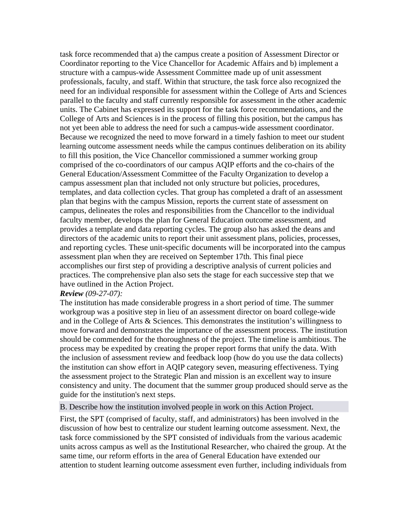task force recommended that a) the campus create a position of Assessment Director or Coordinator reporting to the Vice Chancellor for Academic Affairs and b) implement a structure with a campus-wide Assessment Committee made up of unit assessment professionals, faculty, and staff. Within that structure, the task force also recognized the need for an individual responsible for assessment within the College of Arts and Sciences parallel to the faculty and staff currently responsible for assessment in the other academic units. The Cabinet has expressed its support for the task force recommendations, and the College of Arts and Sciences is in the process of filling this position, but the campus has not yet been able to address the need for such a campus-wide assessment coordinator. Because we recognized the need to move forward in a timely fashion to meet our student learning outcome assessment needs while the campus continues deliberation on its ability to fill this position, the Vice Chancellor commissioned a summer working group comprised of the co-coordinators of our campus AQIP efforts and the co-chairs of the General Education/Assessment Committee of the Faculty Organization to develop a campus assessment plan that included not only structure but policies, procedures, templates, and data collection cycles. That group has completed a draft of an assessment plan that begins with the campus Mission, reports the current state of assessment on campus, delineates the roles and responsibilities from the Chancellor to the individual faculty member, develops the plan for General Education outcome assessment, and provides a template and data reporting cycles. The group also has asked the deans and directors of the academic units to report their unit assessment plans, policies, processes, and reporting cycles. These unit-specific documents will be incorporated into the campus assessment plan when they are received on September 17th. This final piece accomplishes our first step of providing a descriptive analysis of current policies and practices. The comprehensive plan also sets the stage for each successive step that we have outlined in the Action Project.

#### *Review (09-27-07):*

The institution has made considerable progress in a short period of time. The summer workgroup was a positive step in lieu of an assessment director on board college-wide and in the College of Arts & Sciences. This demonstrates the institution's willingness to move forward and demonstrates the importance of the assessment process. The institution should be commended for the thoroughness of the project. The timeline is ambitious. The process may be expedited by creating the proper report forms that unify the data. With the inclusion of assessment review and feedback loop (how do you use the data collects) the institution can show effort in AQIP category seven, measuring effectiveness. Tying the assessment project to the Strategic Plan and mission is an excellent way to insure consistency and unity. The document that the summer group produced should serve as the guide for the institution's next steps.

B. Describe how the institution involved people in work on this Action Project.

First, the SPT (comprised of faculty, staff, and administrators) has been involved in the discussion of how best to centralize our student learning outcome assessment. Next, the task force commissioned by the SPT consisted of individuals from the various academic units across campus as well as the Institutional Researcher, who chaired the group. At the same time, our reform efforts in the area of General Education have extended our attention to student learning outcome assessment even further, including individuals from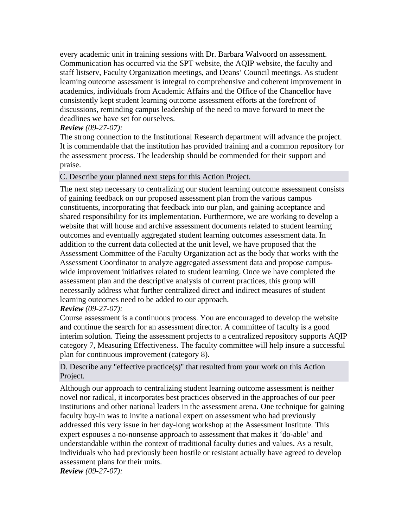every academic unit in training sessions with Dr. Barbara Walvoord on assessment. Communication has occurred via the SPT website, the AQIP website, the faculty and staff listserv, Faculty Organization meetings, and Deans' Council meetings. As student learning outcome assessment is integral to comprehensive and coherent improvement in academics, individuals from Academic Affairs and the Office of the Chancellor have consistently kept student learning outcome assessment efforts at the forefront of discussions, reminding campus leadership of the need to move forward to meet the deadlines we have set for ourselves.

## *Review (09-27-07):*

The strong connection to the Institutional Research department will advance the project. It is commendable that the institution has provided training and a common repository for the assessment process. The leadership should be commended for their support and praise.

#### C. Describe your planned next steps for this Action Project.

The next step necessary to centralizing our student learning outcome assessment consists of gaining feedback on our proposed assessment plan from the various campus constituents, incorporating that feedback into our plan, and gaining acceptance and shared responsibility for its implementation. Furthermore, we are working to develop a website that will house and archive assessment documents related to student learning outcomes and eventually aggregated student learning outcomes assessment data. In addition to the current data collected at the unit level, we have proposed that the Assessment Committee of the Faculty Organization act as the body that works with the Assessment Coordinator to analyze aggregated assessment data and propose campuswide improvement initiatives related to student learning. Once we have completed the assessment plan and the descriptive analysis of current practices, this group will necessarily address what further centralized direct and indirect measures of student learning outcomes need to be added to our approach.

#### *Review (09-27-07):*

Course assessment is a continuous process. You are encouraged to develop the website and continue the search for an assessment director. A committee of faculty is a good interim solution. Tieing the assessment projects to a centralized repository supports AQIP category 7, Measuring Effectiveness. The faculty committee will help insure a successful plan for continuous improvement (category 8).

D. Describe any "effective practice(s)" that resulted from your work on this Action Project.

Although our approach to centralizing student learning outcome assessment is neither novel nor radical, it incorporates best practices observed in the approaches of our peer institutions and other national leaders in the assessment arena. One technique for gaining faculty buy-in was to invite a national expert on assessment who had previously addressed this very issue in her day-long workshop at the Assessment Institute. This expert espouses a no-nonsense approach to assessment that makes it 'do-able' and understandable within the context of traditional faculty duties and values. As a result, individuals who had previously been hostile or resistant actually have agreed to develop assessment plans for their units.

*Review (09-27-07):*